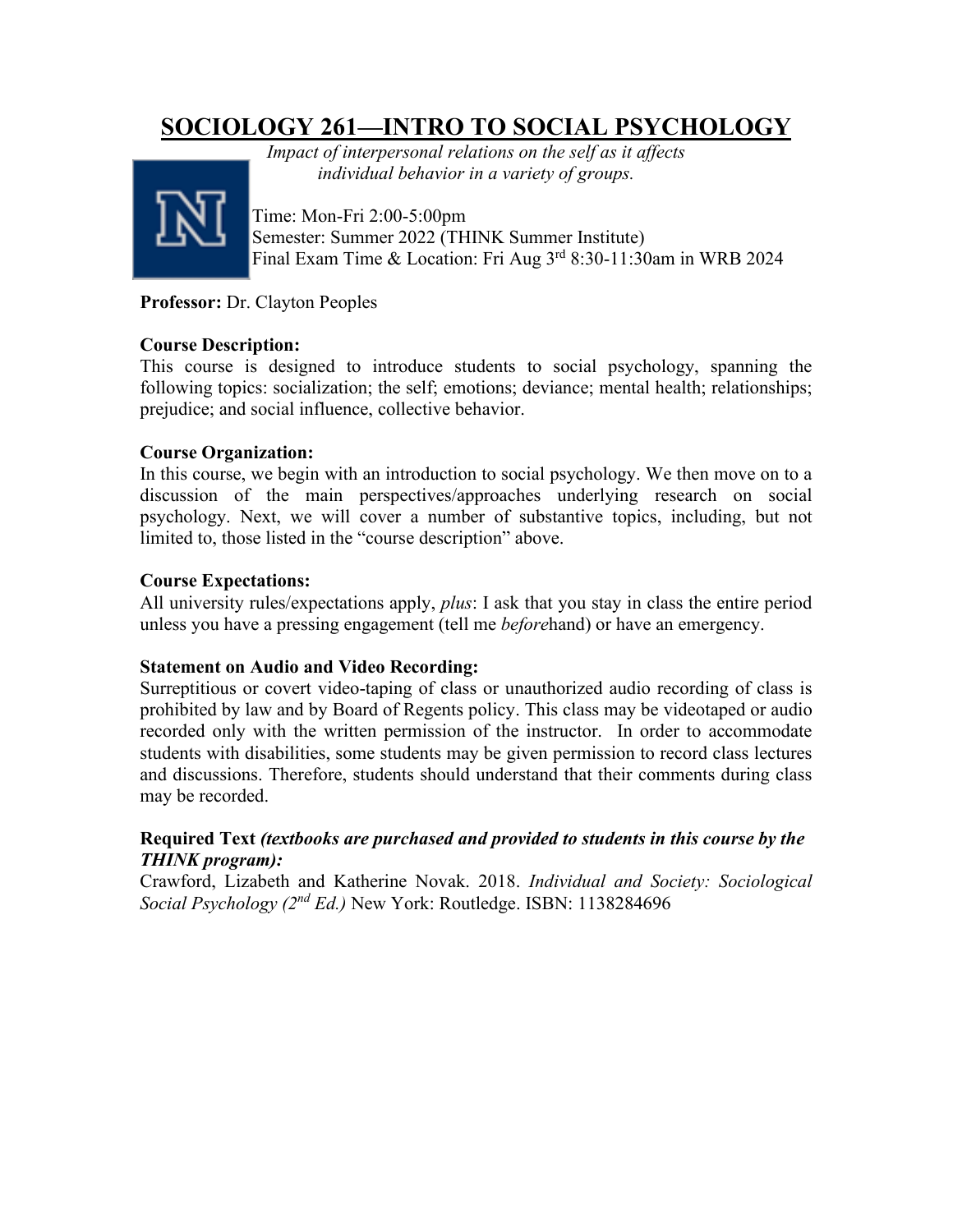# **SOCIOLOGY 261—INTRO TO SOCIAL PSYCHOLOGY**



*Impact of interpersonal relations on the self as it affects individual behavior in a variety of groups.*

Time: Mon-Fri 2:00-5:00pm Semester: Summer 2022 (THINK Summer Institute) Final Exam Time & Location: Fri Aug 3rd 8:30-11:30am in WRB 2024

**Professor:** Dr. Clayton Peoples

### **Course Description:**

This course is designed to introduce students to social psychology, spanning the following topics: socialization; the self; emotions; deviance; mental health; relationships; prejudice; and social influence, collective behavior.

### **Course Organization:**

In this course, we begin with an introduction to social psychology. We then move on to a discussion of the main perspectives/approaches underlying research on social psychology. Next, we will cover a number of substantive topics, including, but not limited to, those listed in the "course description" above.

### **Course Expectations:**

All university rules/expectations apply, *plus*: I ask that you stay in class the entire period unless you have a pressing engagement (tell me *before*hand) or have an emergency.

### **Statement on Audio and Video Recording:**

Surreptitious or covert video-taping of class or unauthorized audio recording of class is prohibited by law and by Board of Regents policy. This class may be videotaped or audio recorded only with the written permission of the instructor. In order to accommodate students with disabilities, some students may be given permission to record class lectures and discussions. Therefore, students should understand that their comments during class may be recorded.

### **Required Text** *(textbooks are purchased and provided to students in this course by the THINK program):*

Crawford, Lizabeth and Katherine Novak. 2018. *Individual and Society: Sociological Social Psychology (2nd Ed.)* New York: Routledge. ISBN: 1138284696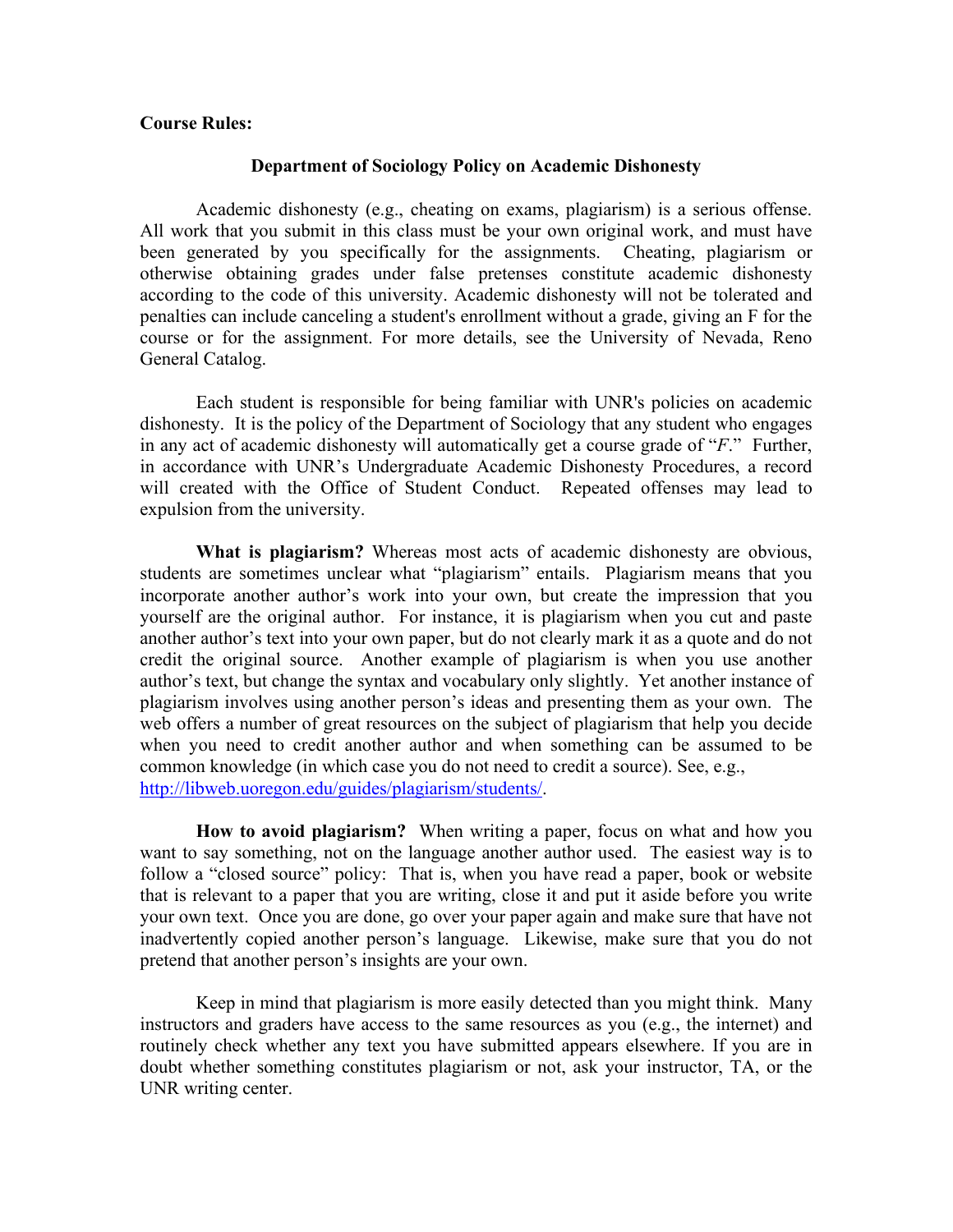#### **Course Rules:**

#### **Department of Sociology Policy on Academic Dishonesty**

Academic dishonesty (e.g., cheating on exams, plagiarism) is a serious offense. All work that you submit in this class must be your own original work, and must have been generated by you specifically for the assignments. Cheating, plagiarism or otherwise obtaining grades under false pretenses constitute academic dishonesty according to the code of this university. Academic dishonesty will not be tolerated and penalties can include canceling a student's enrollment without a grade, giving an F for the course or for the assignment. For more details, see the University of Nevada, Reno General Catalog.

Each student is responsible for being familiar with UNR's policies on academic dishonesty. It is the policy of the Department of Sociology that any student who engages in any act of academic dishonesty will automatically get a course grade of "*F*." Further, in accordance with UNR's Undergraduate Academic Dishonesty Procedures, a record will created with the Office of Student Conduct. Repeated offenses may lead to expulsion from the university.

**What is plagiarism?** Whereas most acts of academic dishonesty are obvious, students are sometimes unclear what "plagiarism" entails. Plagiarism means that you incorporate another author's work into your own, but create the impression that you yourself are the original author. For instance, it is plagiarism when you cut and paste another author's text into your own paper, but do not clearly mark it as a quote and do not credit the original source. Another example of plagiarism is when you use another author's text, but change the syntax and vocabulary only slightly. Yet another instance of plagiarism involves using another person's ideas and presenting them as your own. The web offers a number of great resources on the subject of plagiarism that help you decide when you need to credit another author and when something can be assumed to be common knowledge (in which case you do not need to credit a source). See, e.g., [http://libweb.uoregon.edu/guides/plagiarism/students/.](http://libweb.uoregon.edu/guides/plagiarism/students/)

**How to avoid plagiarism?** When writing a paper, focus on what and how you want to say something, not on the language another author used. The easiest way is to follow a "closed source" policy: That is, when you have read a paper, book or website that is relevant to a paper that you are writing, close it and put it aside before you write your own text. Once you are done, go over your paper again and make sure that have not inadvertently copied another person's language. Likewise, make sure that you do not pretend that another person's insights are your own.

Keep in mind that plagiarism is more easily detected than you might think. Many instructors and graders have access to the same resources as you (e.g., the internet) and routinely check whether any text you have submitted appears elsewhere. If you are in doubt whether something constitutes plagiarism or not, ask your instructor, TA, or the UNR writing center.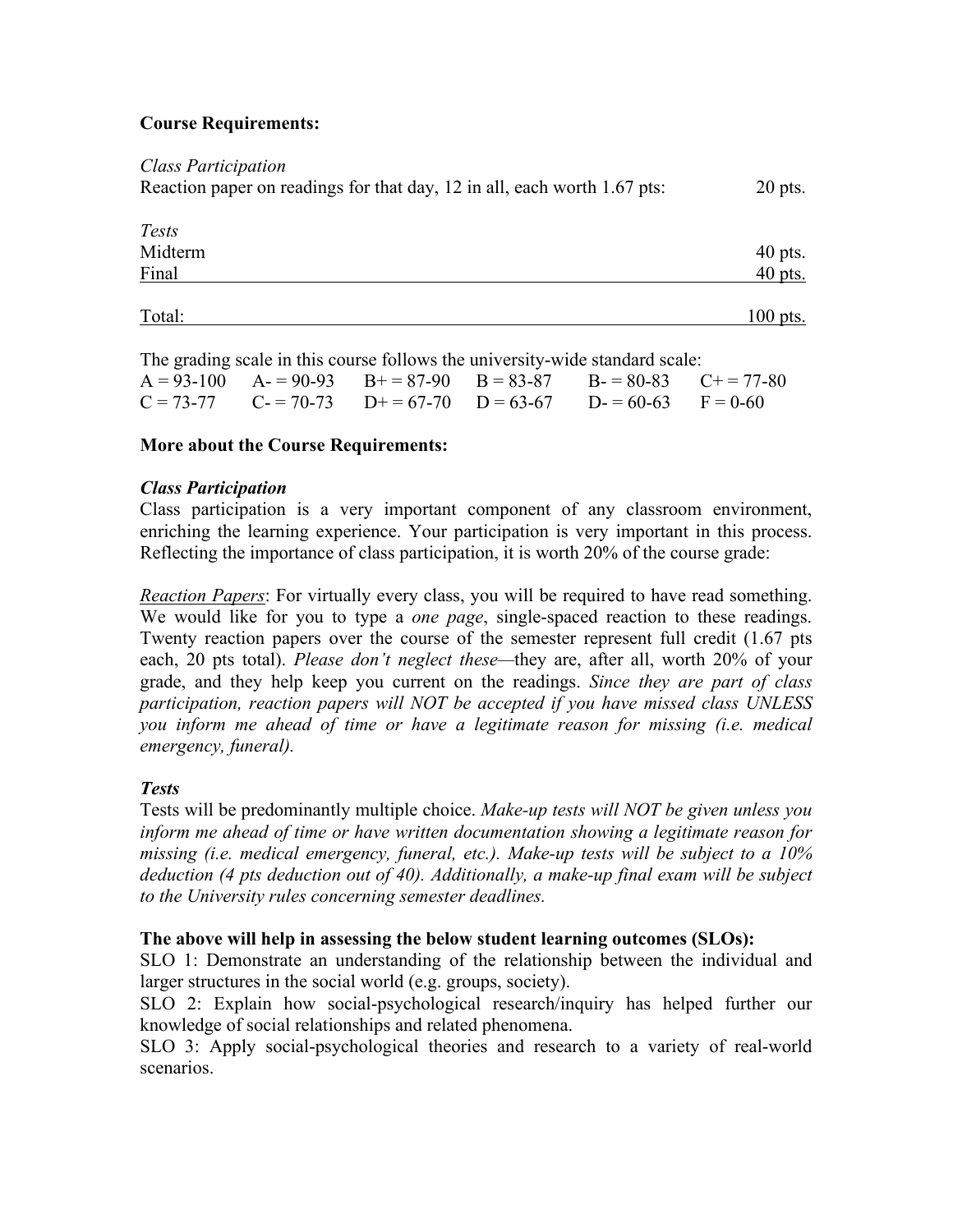### **Course Requirements:**

| <b>Class Participation</b>                                               |            |
|--------------------------------------------------------------------------|------------|
| Reaction paper on readings for that day, 12 in all, each worth 1.67 pts: | $20$ pts.  |
|                                                                          |            |
| <i>Tests</i>                                                             |            |
| Midterm                                                                  | $40$ pts.  |
| Final                                                                    | $40$ pts.  |
|                                                                          |            |
| Total:                                                                   | $100$ pts. |

The grading scale in this course follows the university-wide standard scale:

|  |  | $A = 93-100$ $A = 90-93$ $B = 87-90$ $B = 83-87$ $B = 80-83$ $C = 77-80$ |  |
|--|--|--------------------------------------------------------------------------|--|
|  |  | $C = 73-77$ $C = 70-73$ $D+=67-70$ $D=63-67$ $D=-60-63$ $F=0-60$         |  |

#### **More about the Course Requirements:**

#### *Class Participation*

Class participation is a very important component of any classroom environment, enriching the learning experience. Your participation is very important in this process. Reflecting the importance of class participation, it is worth 20% of the course grade:

*Reaction Papers*: For virtually every class, you will be required to have read something. We would like for you to type a *one page*, single-spaced reaction to these readings. Twenty reaction papers over the course of the semester represent full credit (1.67 pts each, 20 pts total). *Please don't neglect these—*they are, after all, worth 20% of your grade, and they help keep you current on the readings. *Since they are part of class participation, reaction papers will NOT be accepted if you have missed class UNLESS you inform me ahead of time or have a legitimate reason for missing (i.e. medical emergency, funeral).*

#### *Tests*

Tests will be predominantly multiple choice. *Make-up tests will NOT be given unless you inform me ahead of time or have written documentation showing a legitimate reason for missing (i.e. medical emergency, funeral, etc.). Make-up tests will be subject to a 10% deduction (4 pts deduction out of 40). Additionally, a make-up final exam will be subject to the University rules concerning semester deadlines.*

#### **The above will help in assessing the below student learning outcomes (SLOs):**

SLO 1: Demonstrate an understanding of the relationship between the individual and larger structures in the social world (e.g. groups, society).

SLO 2: Explain how social-psychological research/inquiry has helped further our knowledge of social relationships and related phenomena.

SLO 3: Apply social-psychological theories and research to a variety of real-world scenarios.